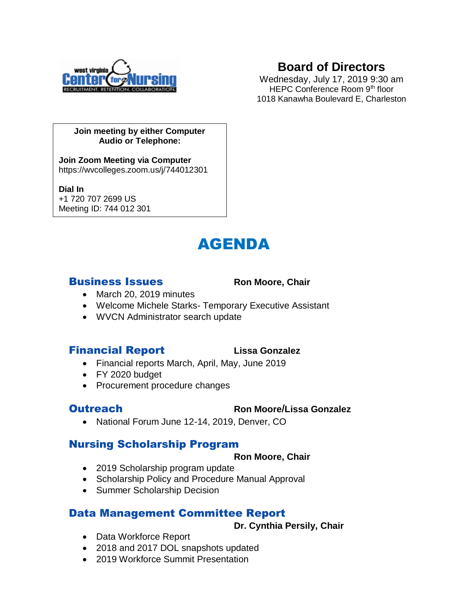

# **Board of Directors**

Wednesday, July 17, 2019 9:30 am HEPC Conference Room 9<sup>th</sup> floor 1018 Kanawha Boulevard E, Charleston

### **Join meeting by either Computer Audio or Telephone:**

**Join Zoom Meeting via Computer** https://wvcolleges.zoom.us/j/744012301

**Dial In**

+1 720 707 2699 US Meeting ID: 744 012 301

# AGENDA

### **Business Issues** Ron Moore, Chair

- March 20, 2019 minutes
- Welcome Michele Starks- Temporary Executive Assistant
- WVCN Administrator search update

### **Financial Report** Lissa Gonzalez

- Financial reports March, April, May, June 2019
- FY 2020 budget
- Procurement procedure changes

# Outreach **Ron Moore**/**Lissa Gonzalez**

• National Forum June 12-14, 2019, Denver, CO

# Nursing Scholarship Program

### **Ron Moore, Chair**

- 2019 Scholarship program update
- Scholarship Policy and Procedure Manual Approval
- Summer Scholarship Decision

# Data Management Committee Report

**Dr. Cynthia Persily, Chair**

- Data Workforce Report
- 2018 and 2017 DOL snapshots updated
- 2019 Workforce Summit Presentation